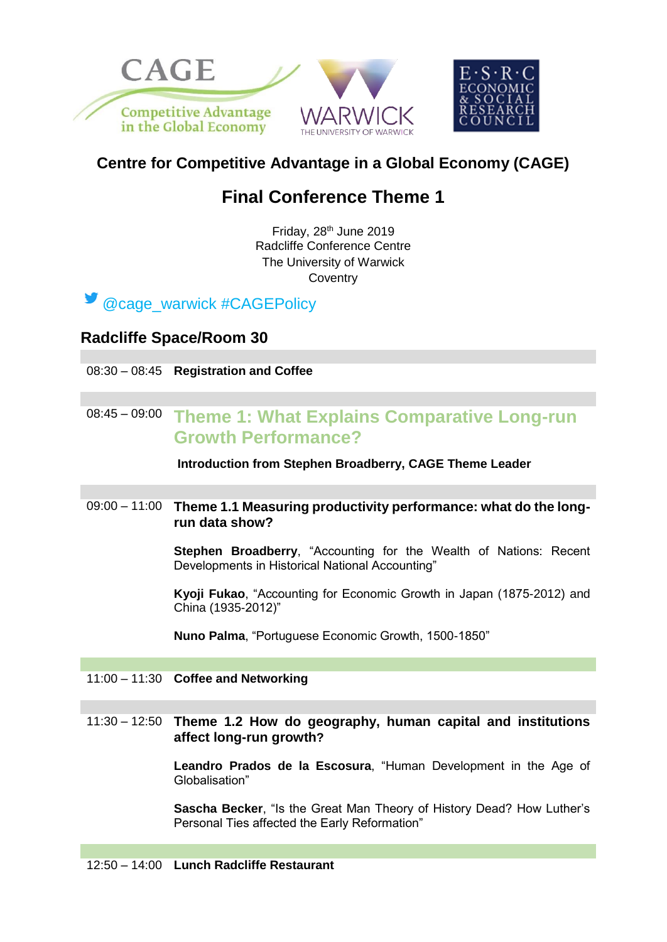

## **Centre for Competitive Advantage in a Global Economy (CAGE)**

# **Final Conference Theme 1**

Friday, 28<sup>th</sup> June 2019 Radcliffe Conference Centre The University of Warwick **Coventry** 



### **Radcliffe Space/Room 30**

08:30 – 08:45 **Registration and Coffee** 

## 08:45 – 09:00 **Theme 1: What Explains Comparative Long-run Growth Performance?**

**Introduction from Stephen Broadberry, CAGE Theme Leader**

### 09:00 – 11:00 **Theme 1.1 Measuring productivity performance: what do the longrun data show?**

**Stephen Broadberry**, "Accounting for the Wealth of Nations: Recent Developments in Historical National Accounting"

**Kyoji Fukao**, "Accounting for Economic Growth in Japan (1875-2012) and China (1935-2012)"

**Nuno Palma**, "Portuguese Economic Growth, 1500-1850"

11:00 – 11:30 **Coffee and Networking**

### 11:30 – 12:50 **Theme 1.2 How do geography, human capital and institutions affect long-run growth?**

**Leandro Prados de la Escosura**, "Human Development in the Age of Globalisation"

**Sascha Becker**, "Is the Great Man Theory of History Dead? How Luther's Personal Ties affected the Early Reformation"